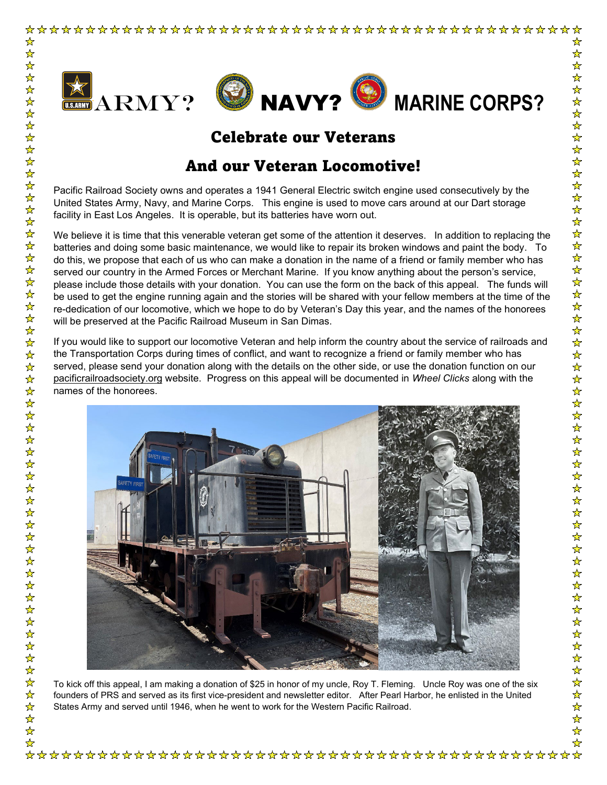

## Celebrate our Veterans

## And our Veteran Locomotive!

Pacific Railroad Society owns and operates a 1941 General Electric switch engine used consecutively by the United States Army, Navy, and Marine Corps. This engine is used to move cars around at our Dart storage facility in East Los Angeles. It is operable, but its batteries have worn out.

We believe it is time that this venerable veteran get some of the attention it deserves. In addition to replacing the batteries and doing some basic maintenance, we would like to repair its broken windows and paint the body. To do this, we propose that each of us who can make a donation in the name of a friend or family member who has served our country in the Armed Forces or Merchant Marine. If you know anything about the person's service, please include those details with your donation. You can use the form on the back of this appeal. The funds will be used to get the engine running again and the stories will be shared with your fellow members at the time of the re-dedication of our locomotive, which we hope to do by Veteran's Day this year, and the names of the honorees will be preserved at the Pacific Railroad Museum in San Dimas.

If you would like to support our locomotive Veteran and help inform the country about the service of railroads and the Transportation Corps during times of conflict, and want to recognize a friend or family member who has served, please send your donation along with the details on the other side, or use the donation function on our pacificrailroadsociety.org website. Progress on this appeal will be documented in *Wheel Clicks* along with the names of the honorees.



To kick off this appeal, I am making a donation of \$25 in honor of my uncle, Roy T. Fleming. Uncle Roy was one of the six founders of PRS and served as its first vice-president and newsletter editor. After Pearl Harbor, he enlisted in the United States Army and served until 1946, when he went to work for the Western Pacific Railroad.

卒 冷冷冷 ☆ 

 $\frac{1}{\sqrt{2}}$  $\frac{1}{2}$  $\frac{1}{\sqrt{2}}$  $\frac{1}{2}$ 

☆☆☆☆☆☆☆☆☆☆☆☆☆☆☆☆☆☆☆☆☆☆☆☆